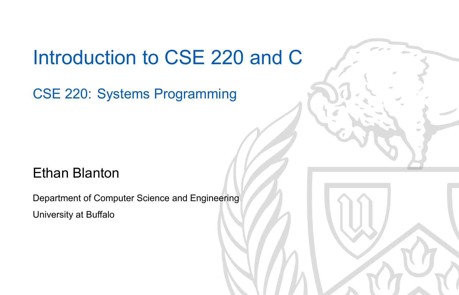### Introduction to CSE 220 and C

CSE 220: Systems Programming

#### Ethan Blanton

Department of Computer Science and Engineering University at Buffalo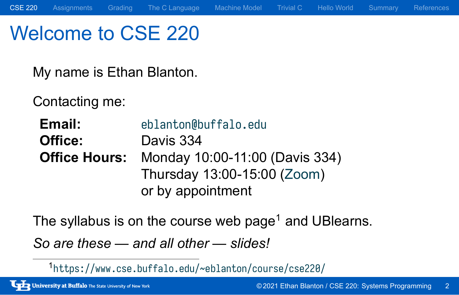### Welcome to CSE 220

My name is Ethan Blanton.

Contacting me:

**Email:** eblanton@buffalo.edu **Office:** Davis 334 **Office Hours:** Monday 10:00-11:00 (Davis 334) Thursday 13:00-15:00 (Zoom) or by appointment

The syllabus is on the course web page<sup>1</sup> and UBlearns.

CSE 220 Assignments Grading The C Language Machine Model Trivial C Hello World Summary References

*So are these — and all other — slides!*

<sup>1</sup> https://www.cse.buffalo.edu/~eblanton/course/cse220/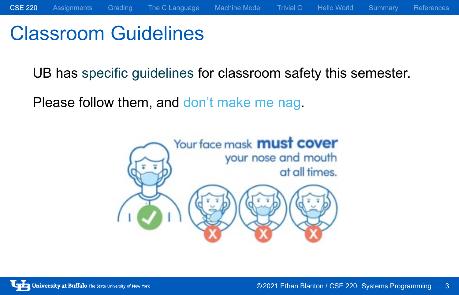# Classroom Guidelines

UB has specific guidelines for classroom safety this semester.

Please follow them, and don't make me nag.

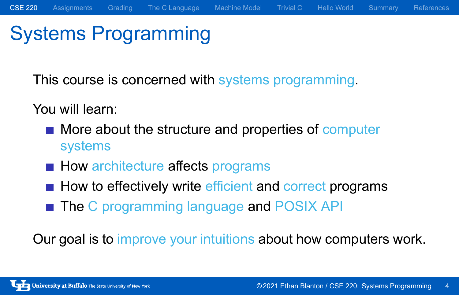### Systems Programming

This course is concerned with systems programming.

You will learn:

More about the structure and properties of computer systems

CSE 220 Assignments Grading The C Language Machine Model Trivial C Hello World Summary References

- How architecture affects programs
- How to effectively write efficient and correct programs
- The C programming language and POSIX API

Our goal is to improve your intuitions about how computers work.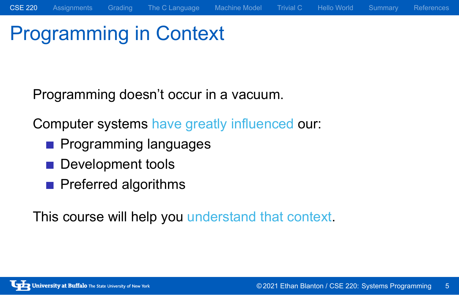# Programming in Context

Programming doesn't occur in a vacuum.

Computer systems have greatly influenced our:

CSE 220 Assignments Grading The C Language Machine Model Trivial C Hello World Summary References

- **Programming languages**
- Development tools
- **Preferred algorithms**

This course will help you understand that context.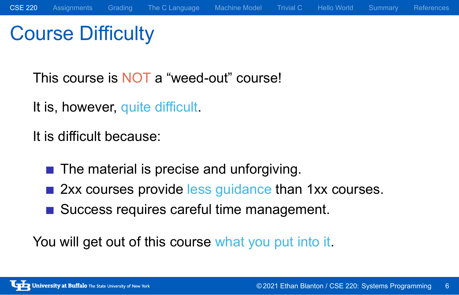# Course Difficulty

This course is NOT a "weed-out" course!

It is, however, quite difficult.

It is difficult because:

- The material is precise and unforgiving.
- 2xx courses provide less guidance than 1xx courses.
- Success requires careful time management.

You will get out of this course what you put into it.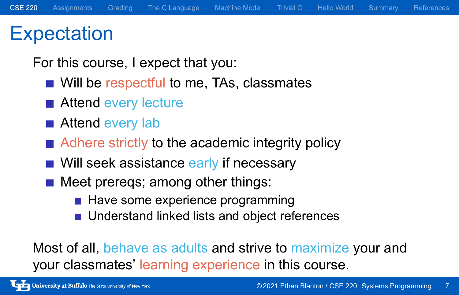### **Expectation**

For this course, I expect that you:

- Will be respectful to me, TAs, classmates
- Attend every lecture
- Attend every lab
- Adhere strictly to the academic integrity policy
- Will seek assistance early if necessary
- Meet prereqs; among other things:
	- Have some experience programming
	- **Understand linked lists and object references**

Most of all, behave as adults and strive to maximize your and your classmates' learning experience in this course.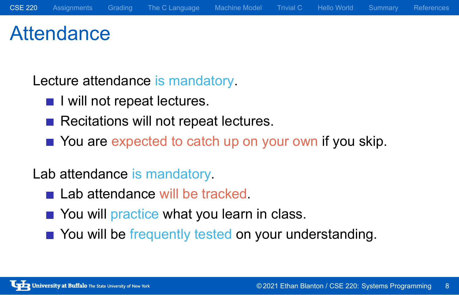### **Attendance**

Lecture attendance is mandatory.

- I will not repeat lectures.
- Recitations will not repeat lectures.
- You are expected to catch up on your own if you skip.

Lab attendance is mandatory.

- Lab attendance will be tracked.
- You will practice what you learn in class.
- You will be frequently tested on your understanding.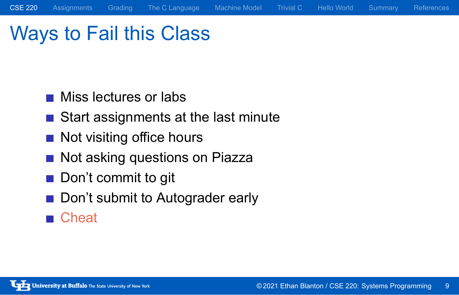# Ways to Fail this Class

- **Miss lectures or labs**
- Start assignments at the last minute

CSE 220 Assignments Grading The C Language Machine Model Trivial C Hello World Summary References

- Not visiting office hours
- Not asking questions on Piazza
- Don't commit to git
- Don't submit to Autograder early
- Cheat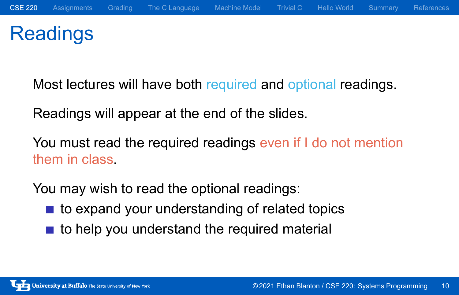## Readings

Most lectures will have both required and optional readings.

Readings will appear at the end of the slides.

You must read the required readings even if I do not mention them in class.

You may wish to read the optional readings:

- to expand your understanding of related topics
- to help you understand the required material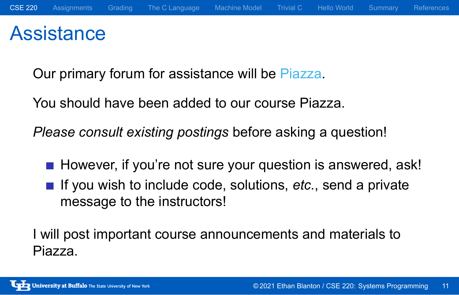### **Assistance**

Our primary forum for assistance will be Piazza.

You should have been added to our course Piazza.

*Please consult existing postings* before asking a question!

- However, if you're not sure your question is answered, ask!
- If you wish to include code, solutions, etc., send a private message to the instructors!

I will post important course announcements and materials to Piazza.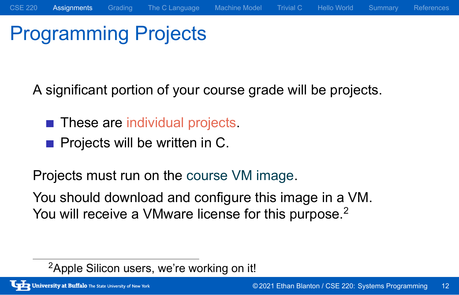# Programming Projects

A significant portion of your course grade will be projects.

CSE 220 Assignments Grading The C Language Machine Model Trivial C Hello World Summary References

- **These are individual projects.**
- **Projects will be written in C.**

Projects must run on the course VM image.

You should download and configure this image in a VM. You will receive a VMware license for this purpose.<sup>2</sup>

<sup>&</sup>lt;sup>2</sup>Apple Silicon users, we're working on it!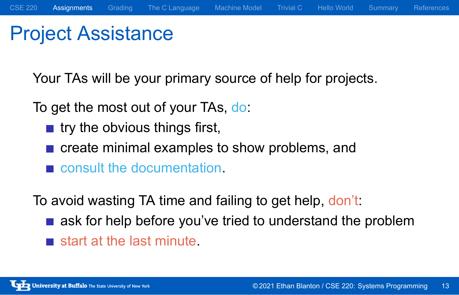## Project Assistance

Your TAs will be your primary source of help for projects.

To get the most out of your TAs, do:

- $\blacksquare$  try the obvious things first,
- create minimal examples to show problems, and
- consult the documentation.

To avoid wasting TA time and failing to get help, don't:

- ask for help before you've tried to understand the problem
- start at the last minute.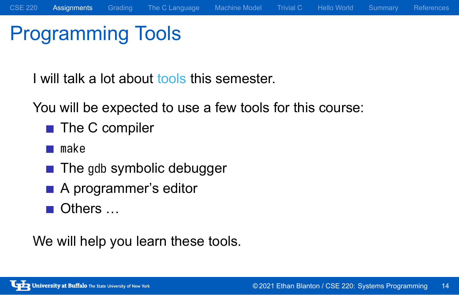# Programming Tools

I will talk a lot about tools this semester.

You will be expected to use a few tools for this course:

- The C compiler
- **make**
- **The gdb symbolic debugger**
- A programmer's editor
- Others …

We will help you learn these tools.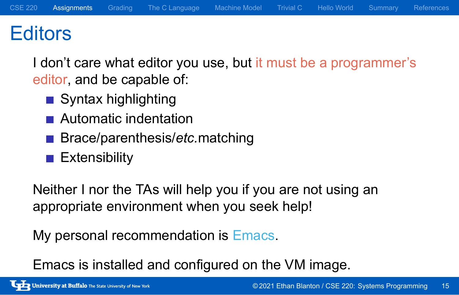### **Editors**

I don't care what editor you use, but it must be a programmer's editor, and be capable of:

- Syntax highlighting
- **Automatic indentation**
- Brace/parenthesis/*etc.*matching
- **Extensibility**

Neither I nor the TAs will help you if you are not using an appropriate environment when you seek help!

My personal recommendation is Emacs.

Emacs is installed and configured on the VM image.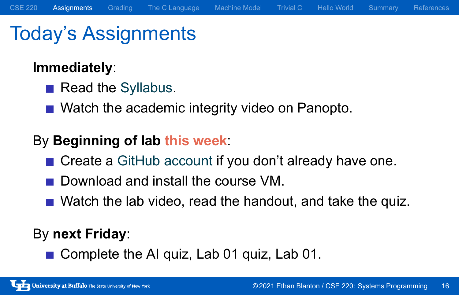# Today's Assignments

#### **Immediately**:

- Read the Syllabus.
- Watch the academic integrity video on Panopto.

#### By **Beginning of lab this week**:

■ Create a GitHub account if you don't already have one.

CSE 220 Assignments Grading The C Language Machine Model Trivial C Hello World Summary References

- Download and install the course VM.
- Watch the lab video, read the handout, and take the quiz.

#### By **next Friday**:

Complete the AI quiz, Lab 01 quiz, Lab 01.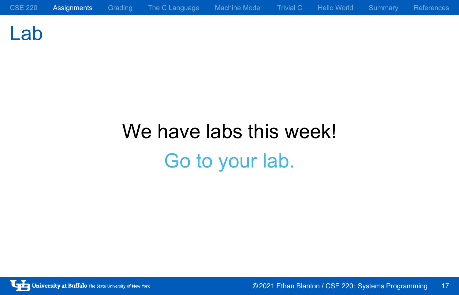Lab

We have labs this week! Go to your lab.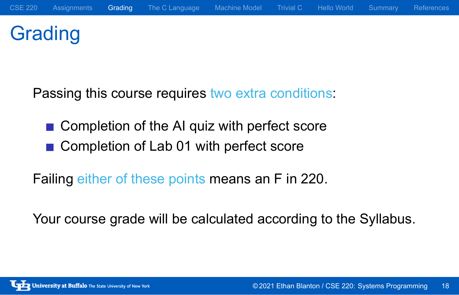# **Grading**

Passing this course requires two extra conditions:

- Completion of the AI quiz with perfect score
- Completion of Lab 01 with perfect score

Failing either of these points means an F in 220.

Your course grade will be calculated according to the Syllabus.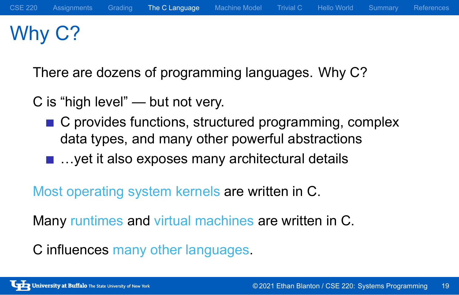# Why C?

There are dozens of programming languages. Why C?

C is "high level" — but not very.

- C provides functions, structured programming, complex data types, and many other powerful abstractions
- ...yet it also exposes many architectural details

Most operating system kernels are written in C.

Many runtimes and virtual machines are written in C.

C influences many other languages.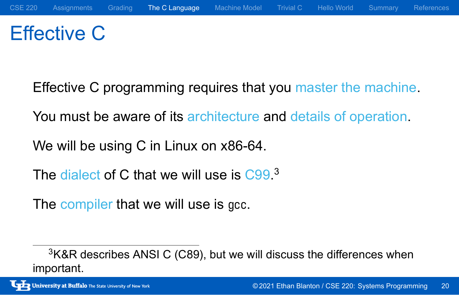# Effective C

Effective C programming requires that you master the machine.

You must be aware of its architecture and details of operation.

We will be using C in Linux on x86-64.

The dialect of C that we will use is C99.<sup>3</sup>

The compiler that we will use is gcc.

<sup>&</sup>lt;sup>3</sup>K&R describes ANSI C (C89), but we will discuss the differences when important.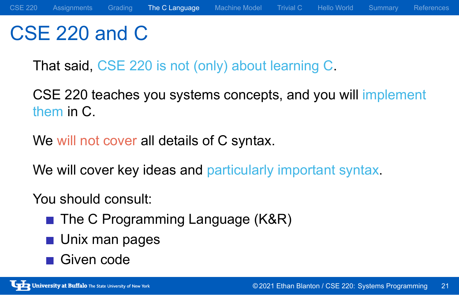### CSE 220 and C

That said, CSE 220 is not (only) about learning C.

CSE 220 teaches you systems concepts, and you will implement them in C.

We will not cover all details of C syntax.

We will cover key ideas and particularly important syntax.

#### You should consult:

- The C Programming Language (K&R)
- **Unix man pages**
- Given code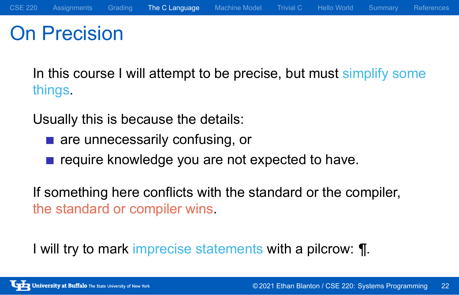### On Precision

In this course I will attempt to be precise, but must simplify some things.

Usually this is because the details:

- **a** are unnecessarily confusing, or
- require knowledge you are not expected to have.

If something here conflicts with the standard or the compiler, the standard or compiler wins.

I will try to mark imprecise statements with a pilcrow: ¶.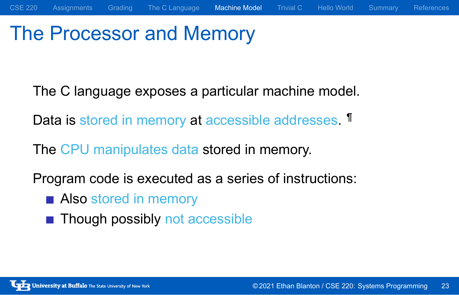### The Processor and Memory

The C language exposes a particular machine model.

CSE 220 Assignments Grading The C Language Machine Model Trivial C Hello World Summary References

Data is stored in memory at accessible addresses. If

The CPU manipulates data stored in memory.

Program code is executed as a series of instructions:

- **Also stored in memory**
- Though possibly not accessible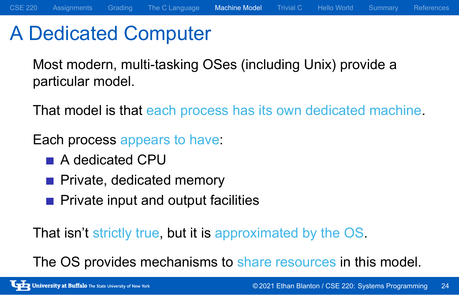### A Dedicated Computer

Most modern, multi-tasking OSes (including Unix) provide a particular model.

That model is that each process has its own dedicated machine.

Each process appears to have:

- A dedicated CPU
- Private, dedicated memory
- **Private input and output facilities**

That isn't strictly true, but it is approximated by the OS.

The OS provides mechanisms to share resources in this model.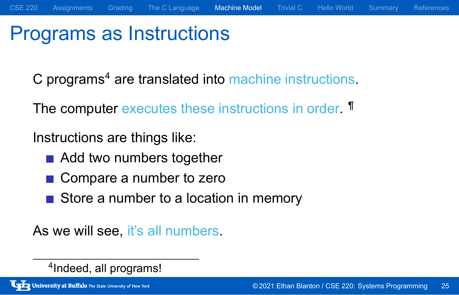# Programs as Instructions

C programs<sup>4</sup> are translated into machine instructions.

CSE 220 Assignments Grading The C Language Machine Model Trivial C Hello World Summary References

The computer executes these instructions in order. **T** 

Instructions are things like:

- Add two numbers together
- Compare a number to zero
- Store a number to a location in memory

As we will see, it's all numbers.

4 Indeed, all programs!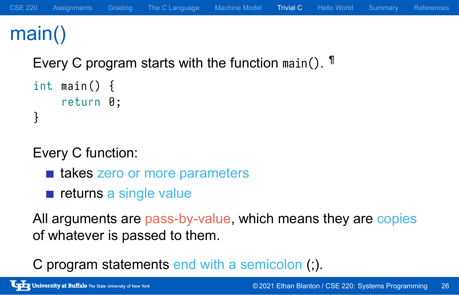### main()

Every C program starts with the function main(). <sup>¶</sup>

```
int main () {
    return 0;
}
```
Every C function:

- takes zero or more parameters
- $\blacksquare$  returns a single value

All arguments are pass-by-value, which means they are copies of whatever is passed to them.

C program statements end with a semicolon (;).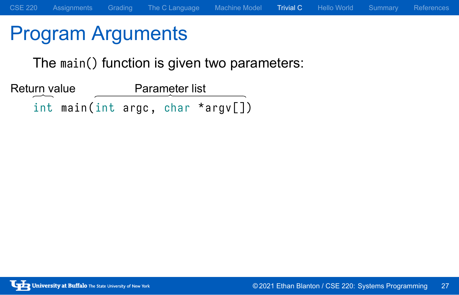# Program Arguments

The main() function is given two parameters:

int main (int argc, char \*argv[]) Return value Parameter list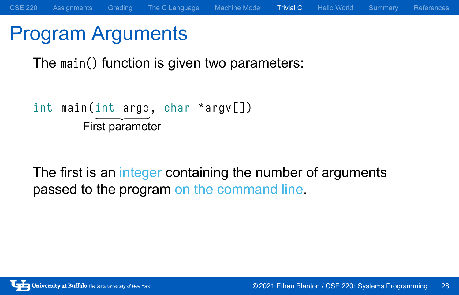# Program Arguments

The main() function is given two parameters:

```
int main (int argc, char *argv[])
        First parameter
```
The first is an integer containing the number of arguments passed to the program on the command line.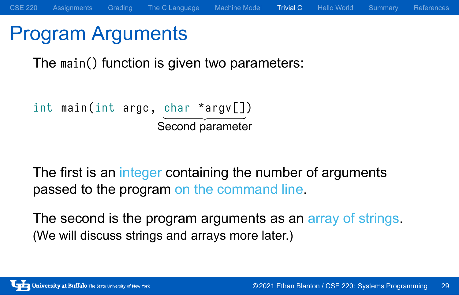### Program Arguments

The main() function is given two parameters:

```
int main (int argc, char *argv[])
                   Second parameter
```
The first is an integer containing the number of arguments passed to the program on the command line.

The second is the program arguments as an array of strings. (We will discuss strings and arrays more later.)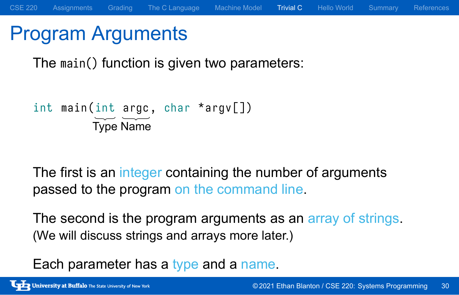### Program Arguments

The main() function is given two parameters:

```
int main(int argc, char *argv[])
        Type Name
```
The first is an integer containing the number of arguments passed to the program on the command line.

The second is the program arguments as an array of strings. (We will discuss strings and arrays more later.)

Each parameter has a type and a name.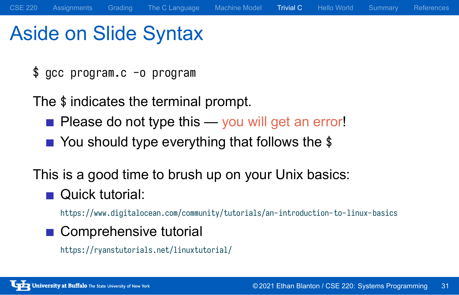### Aside on Slide Syntax

\$ gcc program.c -o program

The \$ indicates the terminal prompt.

- Please do not type this you will get an error!
- You should type everything that follows the \$

This is a good time to brush up on your Unix basics:

■ Quick tutorial:

https://www.digitalocean.com/community/tutorials/an-introduction-to-linux-basics

CSE 220 Assignments Grading The C Language Machine Model Trivial C Hello World Summary References

■ Comprehensive tutorial https://ryanstutorials.net/linuxtutorial/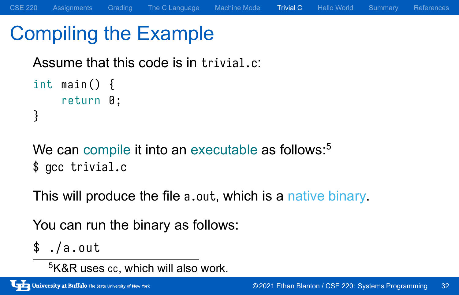# Compiling the Example

Assume that this code is in trivial.c:

```
int main () {
    return 0;
}
```
We can compile it into an executable as follows:<sup>5</sup> \$ gcc trivial.c

This will produce the file a.out, which is a native binary.

CSE 220 Assignments Grading The C Language Machine Model Trivial C Hello World Summary References

You can run the binary as follows:

 $$./a.out$ 

<sup>5</sup>K&R uses cc, which will also work.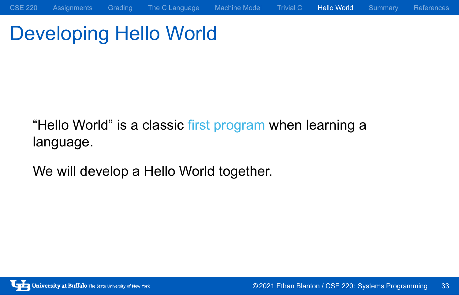# Developing Hello World

"Hello World" is a classic first program when learning a language.

CSE 220 Assignments Grading The C Language Machine Model Trivial C Hello World Summary References

We will develop a Hello World together.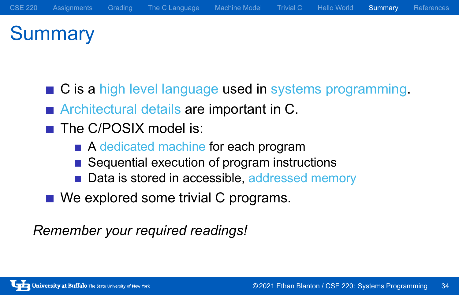### **Summary**

- C is a high level language used in systems programming.
- **Architectural details are important in C.**
- The C/POSIX model is:
	- A dedicated machine for each program
	- Sequential execution of program instructions
	- Data is stored in accessible, addressed memory
- We explored some trivial C programs.

*Remember your required readings!*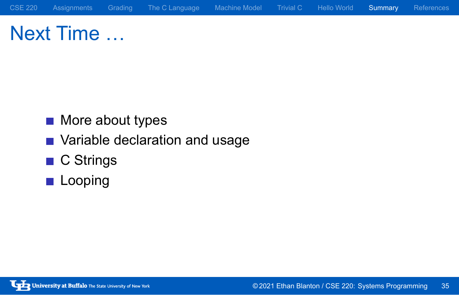Next Time …

- **More about types**
- **Nariable declaration and usage**
- C Strings
- **Looping**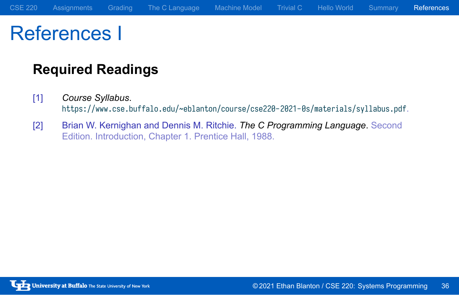# References I

### **Required Readings**

- [1] *Course Syllabus*. https://www.cse.buffalo.edu/~eblanton/course/cse220-2021-0s/materials/syllabus.pdf.
- [2] Brian W. Kernighan and Dennis M. Ritchie. *The C Programming Language*. Second Edition. Introduction, Chapter 1. Prentice Hall, 1988.